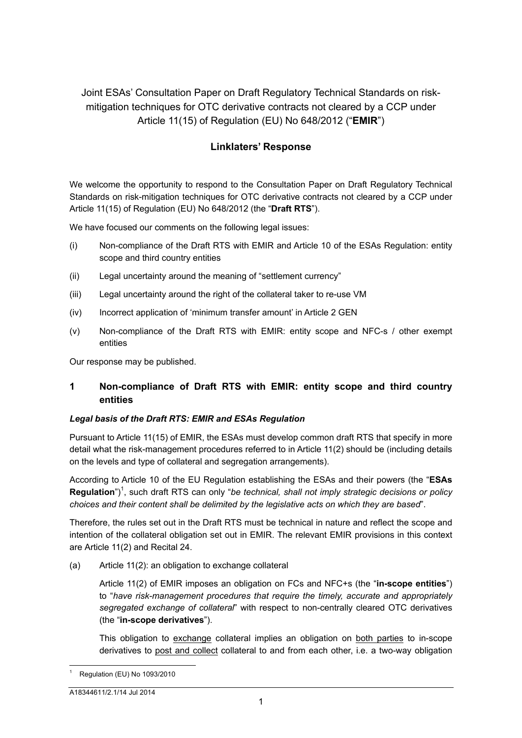Joint ESAs' Consultation Paper on Draft Regulatory Technical Standards on riskmitigation techniques for OTC derivative contracts not cleared by a CCP under Article 11(15) of Regulation (EU) No 648/2012 ("**EMIR**")

# **Linklaters' Response**

We welcome the opportunity to respond to the Consultation Paper on Draft Regulatory Technical Standards on risk-mitigation techniques for OTC derivative contracts not cleared by a CCP under Article 11(15) of Regulation (EU) No 648/2012 (the "**Draft RTS**").

We have focused our comments on the following legal issues:

- (i) Non-compliance of the Draft RTS with EMIR and Article 10 of the ESAs Regulation: entity scope and third country entities
- (ii) Legal uncertainty around the meaning of "settlement currency"
- (iii) Legal uncertainty around the right of the collateral taker to re-use VM
- (iv) Incorrect application of 'minimum transfer amount' in Article 2 GEN
- (v) Non-compliance of the Draft RTS with EMIR: entity scope and NFC-s / other exempt entities

Our response may be published.

# **1 Non-compliance of Draft RTS with EMIR: entity scope and third country entities**

#### *Legal basis of the Draft RTS: EMIR and ESAs Regulation*

Pursuant to Article 11(15) of EMIR, the ESAs must develop common draft RTS that specify in more detail what the risk-management procedures referred to in Article 11(2) should be (including details on the levels and type of collateral and segregation arrangements).

According to Article 10 of the EU Regulation establishing the ESAs and their powers (the "**ESAs**  Regulation<sup>"</sup>)<sup>1</sup>, such draft RTS can only "be technical, shall not imply strategic decisions or policy *choices and their content shall be delimited by the legislative acts on which they are based*".

Therefore, the rules set out in the Draft RTS must be technical in nature and reflect the scope and intention of the collateral obligation set out in EMIR. The relevant EMIR provisions in this context are Article 11(2) and Recital 24.

(a) Article 11(2): an obligation to exchange collateral

Article 11(2) of EMIR imposes an obligation on FCs and NFC+s (the "**in-scope entities**") to "*have risk-management procedures that require the timely, accurate and appropriately segregated exchange of collateral*" with respect to non-centrally cleared OTC derivatives (the "**in-scope derivatives**").

This obligation to exchange collateral implies an obligation on both parties to in-scope derivatives to post and collect collateral to and from each other, i.e. a two-way obligation

l Regulation (EU) No 1093/2010

A18344611/2.1/14 Jul 2014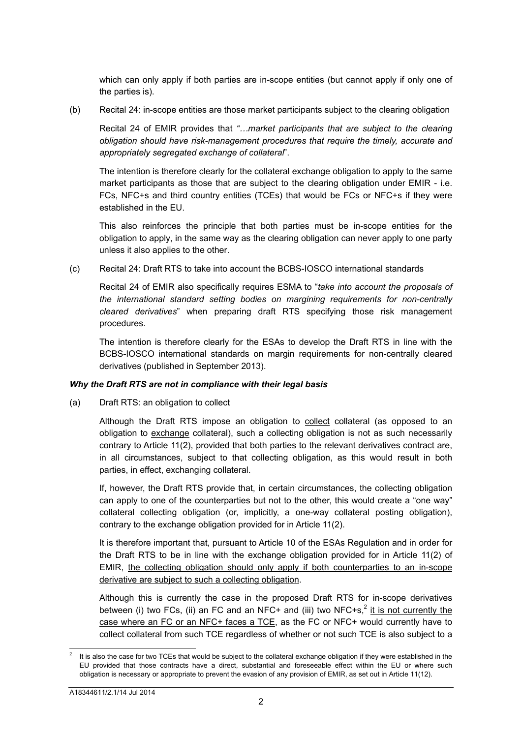which can only apply if both parties are in-scope entities (but cannot apply if only one of the parties is).

(b) Recital 24: in-scope entities are those market participants subject to the clearing obligation

Recital 24 of EMIR provides that *"…market participants that are subject to the clearing obligation should have risk-management procedures that require the timely, accurate and appropriately segregated exchange of collateral*".

The intention is therefore clearly for the collateral exchange obligation to apply to the same market participants as those that are subject to the clearing obligation under EMIR - i.e. FCs, NFC+s and third country entities (TCEs) that would be FCs or NFC+s if they were established in the EU.

This also reinforces the principle that both parties must be in-scope entities for the obligation to apply, in the same way as the clearing obligation can never apply to one party unless it also applies to the other.

(c) Recital 24: Draft RTS to take into account the BCBS-IOSCO international standards

Recital 24 of EMIR also specifically requires ESMA to "*take into account the proposals of the international standard setting bodies on margining requirements for non-centrally cleared derivatives*" when preparing draft RTS specifying those risk management procedures.

The intention is therefore clearly for the ESAs to develop the Draft RTS in line with the BCBS-IOSCO international standards on margin requirements for non-centrally cleared derivatives (published in September 2013).

# *Why the Draft RTS are not in compliance with their legal basis*

(a) Draft RTS: an obligation to collect

Although the Draft RTS impose an obligation to collect collateral (as opposed to an obligation to exchange collateral), such a collecting obligation is not as such necessarily contrary to Article 11(2), provided that both parties to the relevant derivatives contract are, in all circumstances, subject to that collecting obligation, as this would result in both parties, in effect, exchanging collateral.

If, however, the Draft RTS provide that, in certain circumstances, the collecting obligation can apply to one of the counterparties but not to the other, this would create a "one way" collateral collecting obligation (or, implicitly, a one-way collateral posting obligation), contrary to the exchange obligation provided for in Article 11(2).

It is therefore important that, pursuant to Article 10 of the ESAs Regulation and in order for the Draft RTS to be in line with the exchange obligation provided for in Article 11(2) of EMIR, the collecting obligation should only apply if both counterparties to an in-scope derivative are subject to such a collecting obligation.

Although this is currently the case in the proposed Draft RTS for in-scope derivatives between (i) two FCs, (ii) an FC and an NFC+ and (iii) two NFC+s,<sup>2</sup> it is not currently the case where an FC or an NFC+ faces a TCE, as the FC or NFC+ would currently have to collect collateral from such TCE regardless of whether or not such TCE is also subject to a

l 2 It is also the case for two TCEs that would be subject to the collateral exchange obligation if they were established in the EU provided that those contracts have a direct, substantial and foreseeable effect within the EU or where such obligation is necessary or appropriate to prevent the evasion of any provision of EMIR, as set out in Article 11(12).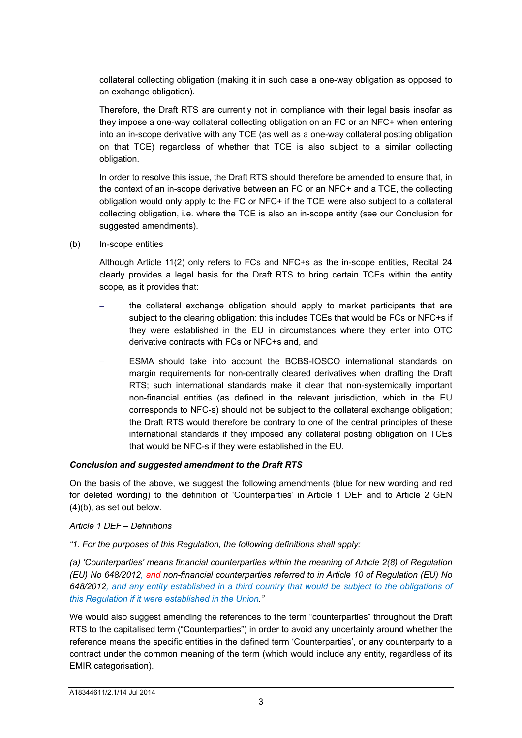collateral collecting obligation (making it in such case a one-way obligation as opposed to an exchange obligation).

Therefore, the Draft RTS are currently not in compliance with their legal basis insofar as they impose a one-way collateral collecting obligation on an FC or an NFC+ when entering into an in-scope derivative with any TCE (as well as a one-way collateral posting obligation on that TCE) regardless of whether that TCE is also subject to a similar collecting obligation.

In order to resolve this issue, the Draft RTS should therefore be amended to ensure that, in the context of an in-scope derivative between an FC or an NFC+ and a TCE, the collecting obligation would only apply to the FC or NFC+ if the TCE were also subject to a collateral collecting obligation, i.e. where the TCE is also an in-scope entity (see our Conclusion for suggested amendments).

(b) In-scope entities

Although Article 11(2) only refers to FCs and NFC+s as the in-scope entities, Recital 24 clearly provides a legal basis for the Draft RTS to bring certain TCEs within the entity scope, as it provides that:

- the collateral exchange obligation should apply to market participants that are subject to the clearing obligation: this includes TCEs that would be FCs or NFC+s if they were established in the EU in circumstances where they enter into OTC derivative contracts with FCs or NFC+s and, and
- ESMA should take into account the BCBS-IOSCO international standards on margin requirements for non-centrally cleared derivatives when drafting the Draft RTS; such international standards make it clear that non-systemically important non-financial entities (as defined in the relevant jurisdiction, which in the EU corresponds to NFC-s) should not be subject to the collateral exchange obligation; the Draft RTS would therefore be contrary to one of the central principles of these international standards if they imposed any collateral posting obligation on TCEs that would be NFC-s if they were established in the EU.

#### *Conclusion and suggested amendment to the Draft RTS*

On the basis of the above, we suggest the following amendments (blue for new wording and red for deleted wording) to the definition of 'Counterparties' in Article 1 DEF and to Article 2 GEN (4)(b), as set out below.

#### *Article 1 DEF – Definitions*

*"1. For the purposes of this Regulation, the following definitions shall apply:* 

*(a) 'Counterparties' means financial counterparties within the meaning of Article 2(8) of Regulation (EU) No 648/2012, and non-financial counterparties referred to in Article 10 of Regulation (EU) No 648/2012, and any entity established in a third country that would be subject to the obligations of this Regulation if it were established in the Union."*

We would also suggest amending the references to the term "counterparties" throughout the Draft RTS to the capitalised term ("Counterparties") in order to avoid any uncertainty around whether the reference means the specific entities in the defined term 'Counterparties', or any counterparty to a contract under the common meaning of the term (which would include any entity, regardless of its EMIR categorisation).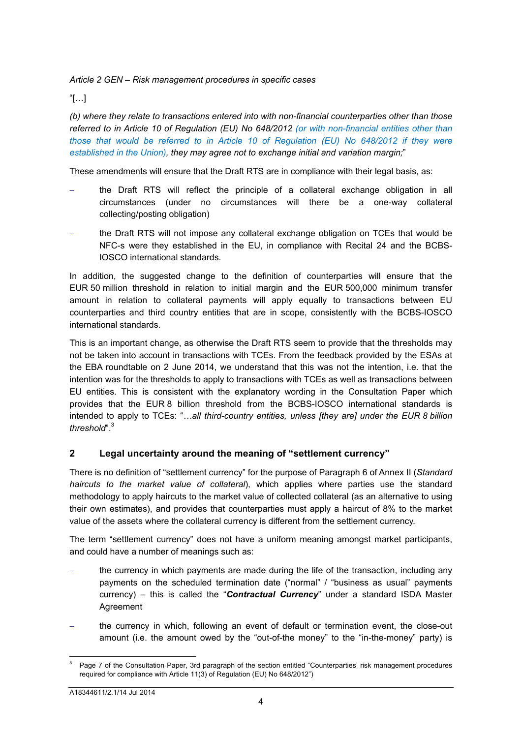### *Article 2 GEN – Risk management procedures in specific cases*

### "[…]

*(b) where they relate to transactions entered into with non-financial counterparties other than those referred to in Article 10 of Regulation (EU) No 648/2012 (or with non-financial entities other than those that would be referred to in Article 10 of Regulation (EU) No 648/2012 if they were established in the Union), they may agree not to exchange initial and variation margin;*"

These amendments will ensure that the Draft RTS are in compliance with their legal basis, as:

- the Draft RTS will reflect the principle of a collateral exchange obligation in all circumstances (under no circumstances will there be a one-way collateral collecting/posting obligation)
- the Draft RTS will not impose any collateral exchange obligation on TCEs that would be NFC-s were they established in the EU, in compliance with Recital 24 and the BCBS-IOSCO international standards.

In addition, the suggested change to the definition of counterparties will ensure that the EUR 50 million threshold in relation to initial margin and the EUR 500,000 minimum transfer amount in relation to collateral payments will apply equally to transactions between EU counterparties and third country entities that are in scope, consistently with the BCBS-IOSCO international standards.

This is an important change, as otherwise the Draft RTS seem to provide that the thresholds may not be taken into account in transactions with TCEs. From the feedback provided by the ESAs at the EBA roundtable on 2 June 2014, we understand that this was not the intention, i.e. that the intention was for the thresholds to apply to transactions with TCEs as well as transactions between EU entities. This is consistent with the explanatory wording in the Consultation Paper which provides that the EUR 8 billion threshold from the BCBS-IOSCO international standards is intended to apply to TCEs: "*…all third-country entities, unless [they are] under the EUR 8 billion threshold*".<sup>3</sup>

# **2 Legal uncertainty around the meaning of "settlement currency"**

There is no definition of "settlement currency" for the purpose of Paragraph 6 of Annex II (*Standard haircuts to the market value of collateral*), which applies where parties use the standard methodology to apply haircuts to the market value of collected collateral (as an alternative to using their own estimates), and provides that counterparties must apply a haircut of 8% to the market value of the assets where the collateral currency is different from the settlement currency.

The term "settlement currency" does not have a uniform meaning amongst market participants, and could have a number of meanings such as:

- the currency in which payments are made during the life of the transaction, including any payments on the scheduled termination date ("normal" / "business as usual" payments currency) – this is called the "*Contractual Currency*" under a standard ISDA Master Agreement
- the currency in which, following an event of default or termination event, the close-out amount (i.e. the amount owed by the "out-of-the money" to the "in-the-money" party) is

l 3 Page 7 of the Consultation Paper, 3rd paragraph of the section entitled "Counterparties' risk management procedures required for compliance with Article 11(3) of Regulation (EU) No 648/2012")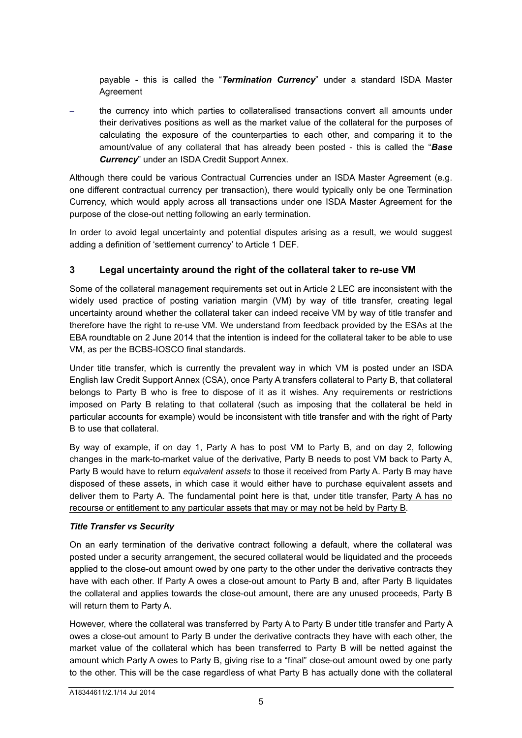payable - this is called the "*Termination Currency*" under a standard ISDA Master Agreement

 the currency into which parties to collateralised transactions convert all amounts under their derivatives positions as well as the market value of the collateral for the purposes of calculating the exposure of the counterparties to each other, and comparing it to the amount/value of any collateral that has already been posted - this is called the "*Base Currency*" under an ISDA Credit Support Annex.

Although there could be various Contractual Currencies under an ISDA Master Agreement (e.g. one different contractual currency per transaction), there would typically only be one Termination Currency, which would apply across all transactions under one ISDA Master Agreement for the purpose of the close-out netting following an early termination.

In order to avoid legal uncertainty and potential disputes arising as a result, we would suggest adding a definition of 'settlement currency' to Article 1 DEF.

# **3 Legal uncertainty around the right of the collateral taker to re-use VM**

Some of the collateral management requirements set out in Article 2 LEC are inconsistent with the widely used practice of posting variation margin (VM) by way of title transfer, creating legal uncertainty around whether the collateral taker can indeed receive VM by way of title transfer and therefore have the right to re-use VM. We understand from feedback provided by the ESAs at the EBA roundtable on 2 June 2014 that the intention is indeed for the collateral taker to be able to use VM, as per the BCBS-IOSCO final standards.

Under title transfer, which is currently the prevalent way in which VM is posted under an ISDA English law Credit Support Annex (CSA), once Party A transfers collateral to Party B, that collateral belongs to Party B who is free to dispose of it as it wishes. Any requirements or restrictions imposed on Party B relating to that collateral (such as imposing that the collateral be held in particular accounts for example) would be inconsistent with title transfer and with the right of Party B to use that collateral.

By way of example, if on day 1, Party A has to post VM to Party B, and on day 2, following changes in the mark-to-market value of the derivative, Party B needs to post VM back to Party A, Party B would have to return *equivalent assets* to those it received from Party A. Party B may have disposed of these assets, in which case it would either have to purchase equivalent assets and deliver them to Party A. The fundamental point here is that, under title transfer, Party A has no recourse or entitlement to any particular assets that may or may not be held by Party B.

#### *Title Transfer vs Security*

On an early termination of the derivative contract following a default, where the collateral was posted under a security arrangement, the secured collateral would be liquidated and the proceeds applied to the close-out amount owed by one party to the other under the derivative contracts they have with each other. If Party A owes a close-out amount to Party B and, after Party B liquidates the collateral and applies towards the close-out amount, there are any unused proceeds, Party B will return them to Party A.

However, where the collateral was transferred by Party A to Party B under title transfer and Party A owes a close-out amount to Party B under the derivative contracts they have with each other, the market value of the collateral which has been transferred to Party B will be netted against the amount which Party A owes to Party B, giving rise to a "final" close-out amount owed by one party to the other. This will be the case regardless of what Party B has actually done with the collateral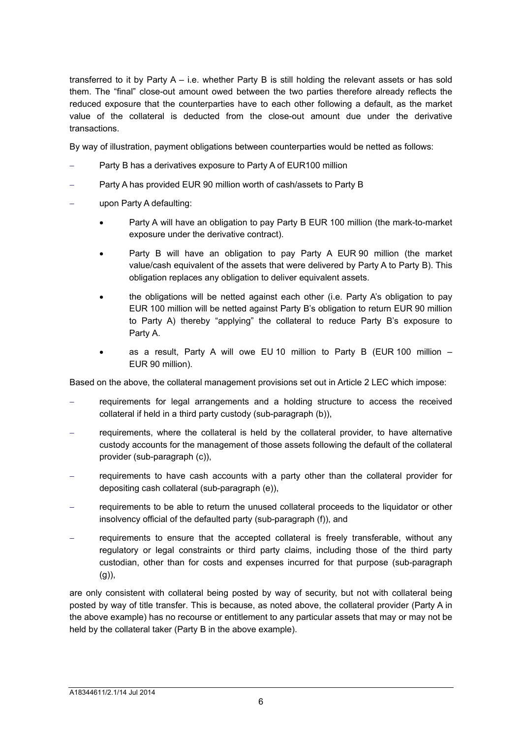transferred to it by Party A – i.e. whether Party B is still holding the relevant assets or has sold them. The "final" close-out amount owed between the two parties therefore already reflects the reduced exposure that the counterparties have to each other following a default, as the market value of the collateral is deducted from the close-out amount due under the derivative transactions.

By way of illustration, payment obligations between counterparties would be netted as follows:

- Party B has a derivatives exposure to Party A of EUR100 million
- Party A has provided EUR 90 million worth of cash/assets to Party B
- upon Party A defaulting:
	- Party A will have an obligation to pay Party B EUR 100 million (the mark-to-market exposure under the derivative contract).
	- Party B will have an obligation to pay Party A EUR 90 million (the market value/cash equivalent of the assets that were delivered by Party A to Party B). This obligation replaces any obligation to deliver equivalent assets.
	- the obligations will be netted against each other (i.e. Party A's obligation to pay EUR 100 million will be netted against Party B's obligation to return EUR 90 million to Party A) thereby "applying" the collateral to reduce Party B's exposure to Party A.
	- as a result. Party A will owe EU 10 million to Party B (EUR 100 million EUR 90 million).

Based on the above, the collateral management provisions set out in Article 2 LEC which impose:

- requirements for legal arrangements and a holding structure to access the received collateral if held in a third party custody (sub-paragraph (b)),
- requirements, where the collateral is held by the collateral provider, to have alternative custody accounts for the management of those assets following the default of the collateral provider (sub-paragraph (c)),
- requirements to have cash accounts with a party other than the collateral provider for depositing cash collateral (sub-paragraph (e)),
- requirements to be able to return the unused collateral proceeds to the liquidator or other insolvency official of the defaulted party (sub-paragraph (f)), and
- requirements to ensure that the accepted collateral is freely transferable, without any regulatory or legal constraints or third party claims, including those of the third party custodian, other than for costs and expenses incurred for that purpose (sub-paragraph (g)),

are only consistent with collateral being posted by way of security, but not with collateral being posted by way of title transfer. This is because, as noted above, the collateral provider (Party A in the above example) has no recourse or entitlement to any particular assets that may or may not be held by the collateral taker (Party B in the above example).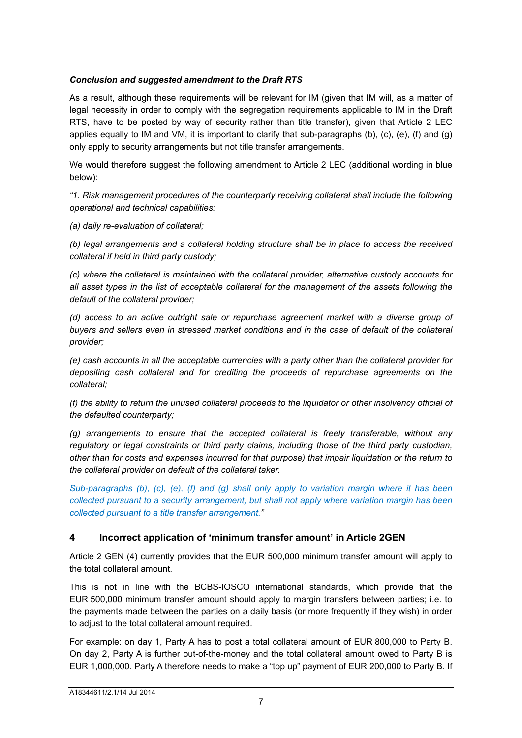#### *Conclusion and suggested amendment to the Draft RTS*

As a result, although these requirements will be relevant for IM (given that IM will, as a matter of legal necessity in order to comply with the segregation requirements applicable to IM in the Draft RTS, have to be posted by way of security rather than title transfer), given that Article 2 LEC applies equally to IM and VM, it is important to clarify that sub-paragraphs (b), (c), (e), (f) and (g) only apply to security arrangements but not title transfer arrangements.

We would therefore suggest the following amendment to Article 2 LEC (additional wording in blue below):

*"1. Risk management procedures of the counterparty receiving collateral shall include the following operational and technical capabilities:* 

*(a) daily re-evaluation of collateral;* 

*(b) legal arrangements and a collateral holding structure shall be in place to access the received collateral if held in third party custody;* 

*(c) where the collateral is maintained with the collateral provider, alternative custody accounts for all asset types in the list of acceptable collateral for the management of the assets following the default of the collateral provider;* 

*(d) access to an active outright sale or repurchase agreement market with a diverse group of buyers and sellers even in stressed market conditions and in the case of default of the collateral provider;* 

*(e) cash accounts in all the acceptable currencies with a party other than the collateral provider for depositing cash collateral and for crediting the proceeds of repurchase agreements on the collateral;* 

*(f) the ability to return the unused collateral proceeds to the liquidator or other insolvency official of the defaulted counterparty;* 

*(g) arrangements to ensure that the accepted collateral is freely transferable, without any regulatory or legal constraints or third party claims, including those of the third party custodian, other than for costs and expenses incurred for that purpose) that impair liquidation or the return to the collateral provider on default of the collateral taker.*

*Sub-paragraphs (b), (c), (e), (f) and (g) shall only apply to variation margin where it has been collected pursuant to a security arrangement, but shall not apply where variation margin has been collected pursuant to a title transfer arrangement."*

# **4 Incorrect application of 'minimum transfer amount' in Article 2GEN**

Article 2 GEN (4) currently provides that the EUR 500,000 minimum transfer amount will apply to the total collateral amount.

This is not in line with the BCBS-IOSCO international standards, which provide that the EUR 500,000 minimum transfer amount should apply to margin transfers between parties; i.e. to the payments made between the parties on a daily basis (or more frequently if they wish) in order to adjust to the total collateral amount required.

For example: on day 1, Party A has to post a total collateral amount of EUR 800,000 to Party B. On day 2, Party A is further out-of-the-money and the total collateral amount owed to Party B is EUR 1,000,000. Party A therefore needs to make a "top up" payment of EUR 200,000 to Party B. If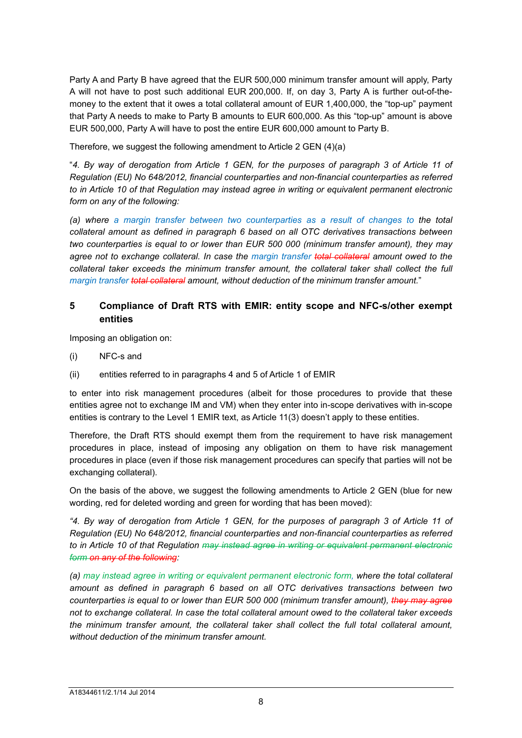Party A and Party B have agreed that the EUR 500,000 minimum transfer amount will apply, Party A will not have to post such additional EUR 200,000. If, on day 3, Party A is further out-of-themoney to the extent that it owes a total collateral amount of EUR 1,400,000, the "top-up" payment that Party A needs to make to Party B amounts to EUR 600,000. As this "top-up" amount is above EUR 500,000, Party A will have to post the entire EUR 600,000 amount to Party B.

Therefore, we suggest the following amendment to Article 2 GEN (4)(a)

"*4. By way of derogation from Article 1 GEN, for the purposes of paragraph 3 of Article 11 of Regulation (EU) No 648/2012, financial counterparties and non-financial counterparties as referred to in Article 10 of that Regulation may instead agree in writing or equivalent permanent electronic form on any of the following:* 

*(a) where a margin transfer between two counterparties as a result of changes to the total collateral amount as defined in paragraph 6 based on all OTC derivatives transactions between two counterparties is equal to or lower than EUR 500 000 (minimum transfer amount), they may agree not to exchange collateral. In case the margin transfer total collateral amount owed to the collateral taker exceeds the minimum transfer amount, the collateral taker shall collect the full margin transfer total collateral amount, without deduction of the minimum transfer amount.*"

# **5 Compliance of Draft RTS with EMIR: entity scope and NFC-s/other exempt entities**

Imposing an obligation on:

- (i) NFC-s and
- (ii) entities referred to in paragraphs 4 and 5 of Article 1 of EMIR

to enter into risk management procedures (albeit for those procedures to provide that these entities agree not to exchange IM and VM) when they enter into in-scope derivatives with in-scope entities is contrary to the Level 1 EMIR text, as Article 11(3) doesn't apply to these entities.

Therefore, the Draft RTS should exempt them from the requirement to have risk management procedures in place, instead of imposing any obligation on them to have risk management procedures in place (even if those risk management procedures can specify that parties will not be exchanging collateral).

On the basis of the above, we suggest the following amendments to Article 2 GEN (blue for new wording, red for deleted wording and green for wording that has been moved):

*"4. By way of derogation from Article 1 GEN, for the purposes of paragraph 3 of Article 11 of Regulation (EU) No 648/2012, financial counterparties and non-financial counterparties as referred to in Article 10 of that Regulation may instead agree in writing or equivalent permanent electronic form on any of the following:* 

*(a) may instead agree in writing or equivalent permanent electronic form, where the total collateral amount as defined in paragraph 6 based on all OTC derivatives transactions between two counterparties is equal to or lower than EUR 500 000 (minimum transfer amount), they may agree not to exchange collateral. In case the total collateral amount owed to the collateral taker exceeds the minimum transfer amount, the collateral taker shall collect the full total collateral amount, without deduction of the minimum transfer amount.*